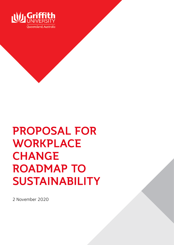

# PROPOSAL FOR WORKPLACE **CHANGE** ROADMAP TO SUSTAINABILITY

2 November 2020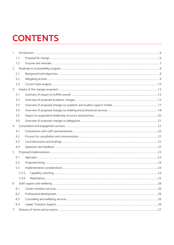# **CONTENTS**

| $\mathbf{1}$   |     |       |  |  |
|----------------|-----|-------|--|--|
|                | 1.1 |       |  |  |
|                | 1.2 |       |  |  |
| $\overline{2}$ |     |       |  |  |
|                | 2.1 |       |  |  |
|                | 2.2 |       |  |  |
|                | 2.3 |       |  |  |
| 3              |     |       |  |  |
|                | 3.1 |       |  |  |
|                | 3.2 |       |  |  |
|                | 3.3 |       |  |  |
|                | 3.4 |       |  |  |
|                | 3.5 |       |  |  |
|                | 3.6 |       |  |  |
| $\overline{4}$ |     |       |  |  |
|                | 4.1 |       |  |  |
|                | 4.2 |       |  |  |
|                | 4.3 |       |  |  |
|                | 4.4 |       |  |  |
| 5              |     |       |  |  |
|                | 5.1 |       |  |  |
|                | 5.2 |       |  |  |
|                | 5.3 |       |  |  |
|                |     | 5.3.5 |  |  |
|                |     | 5.3.6 |  |  |
| 6              |     |       |  |  |
|                | 6.1 |       |  |  |
|                | 6.2 |       |  |  |
|                | 6.3 |       |  |  |
|                | 6.4 |       |  |  |
| 7              |     |       |  |  |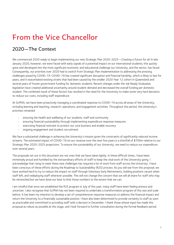# From the Vice Chancellor

# 2020—The Context

We commenced 2020 ready to begin implementing our new Strategic Plan 2020-2025*—Creating a future for all*. In late January 2020, however, we were faced with early signals of a potential impact on our international students; this quickly grew and developed into the most significant economic and educational challenge our University, and the sector, has faced. Consequently, our priorities over 2020 had to switch from Strategic Plan implementation to addressing the pressing challenges posed by COVID-19. COVID-19 has created significant disruption and financial hardship, which is likely to last for years, and it exacerbated existing strains that had been caused by the smaller 2020 Year 12 cohort in Queensland and several years of frozen government funding for domestic students. Recent changes under the Job Ready Graduates legislation have created additional uncertainty around student demand and decreased the overall funding per domestic student. The combined result of these factors has resulted in the need for the University to make some very hard decisions to reduce our costs, including staff expenditure.

At Griffith, we have been proactively managing a coordinated response to COVID-19 across all areas of the University, including learning and teaching, research, operations, and engagement activities. Throughout this period, the University's priorities remained:

- ensuring the health and wellbeing of our students, staff and community
- ensuring financial sustainability through implementing expenditure response measures
- exercising financial restraint to protect our core business and enable recovery
- ongoing engagement and student recruitment.

We face a substantial challenge in achieving the University's mission given the constraints of significantly reduced income streams. The estimated impact of COVID-19 on our revenue over the next five years is a shortfall of \$700m relative to our Strategic Plan 2020-2025 projections. To ensure the sustainability of our University, we need to reduce our expenditure over several years.

The proposals set out in this document are not ones that we have taken lightly. In these difficult times, I have been immensely proud and humbled by the extraordinary efforts of staff to keep the vital work of this University going. I acknowledge that rising to meet these new challenges has required a lot of work from staff across the University. I have been conscious of these efforts during the Roadmap to Sustainability (R2S) process. As you will see from this proposal, we have worked hard to try to reduce the impact on staff through Voluntary Early Retirements, holding positions vacant when staff left, and redeploying staff wherever possible. This will not change the concern that we will all share for staff who may be retrenched but we have done our best to limit those numbers to the extent that we can.

I am mindful that since we established the R2S program in July of this year, many staff have been feeling anxious and uncertain. I also recognise that Griffith has not been required to undertake a transformation program of this size and scale before. It has been my intention to develop a set of comprehensive response measures to address the financial impact and return the University to a financially sustainable position. I have also been determined to provide certainty to staff as soon as practicable and committed to providing staff with a decision in December. I thank those whose input has made this proposal as robust as possible at this stage, and I look forward to further consultation during the formal feedback period.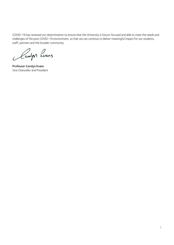COVID-19 has renewed our determination to ensure that the University is future-focused and able to meet the needs and challenges of the post COVID-19 environment, so that we can continue to deliver meaningful impact for our students, staff, partners and the broader community.

Camps Evans

Professor Carolyn Evans Vice Chancellor and President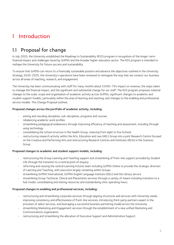# <span id="page-4-0"></span>1 Introduction

# <span id="page-4-1"></span>1.1 Proposal for change

In July 2020, the University established the Roadmap to Sustainability (R2S) program in recognition of the longer-term financial impact and challenges faced by Griffith and the broader higher education sector. The R2S program is intended to reshape the University for future success and sustainability.

To ensure that Griffith can return to a financially sustainable position and advance the objectives outlined in the University Strategy 2020-2025, the University's operations have been reviewed to reimagine the way that we conduct our business across all areas of teaching, research, and engagement.

The University has been communicating with staff for many months about COVID-19's impact on revenue, the steps taken to manage the financial impact, and the significant and substantial change for our staff. The R2S program proposes material changes to the scale, scope and organisation of academic activity across Griffith; significant changes to academic and student support models, particularly within the area of learning and teaching; and changes to the enabling and professional service models. This Change Proposal outlines:

#### Proposed changes across the portfolio of academic activity, including:

- exiting and rescaling disciplines, sub-disciplines, programs and courses
- rebalancing academic work profiles
- streamlining pedagogical endeavours through improving efficiency of teaching and assessment, including through using technology
- consolidating the school structure in the Health Group, reducing from eight to five Schools
- restructuring research activity within the Arts, Education and Law (AEL) Group into a joint Research Centre focused on the Creative and Performing Arts and restructuring Research Centres and Institutes (RCIs) in the Sciences Group.

#### Proposed changes to academic and student support models, including:

- restructuring the Group Learning and Teaching support and streamlining of front-line support provided by Student Life through the transition to a central point of enquiry
- reforming and resizing the central Learning Futures team including Griffith Online to provide the strategic direction of Learning and Teaching, with execution largely remaining within Groups
- streamlining Griffith International, Griffith English Language Institute (GELI) and the Library service
- streamlining Group Technical, Clinical and Placements services through a variety of means including transition to a hub model, consolidating and sharing resources and standardising clinic operating hours.

#### Proposed changes to enabling and professional services, including:

- restructuring and streamlining corporate services through aligning structures and services with University needs, improving consistency and effectiveness of front-line services, introducing third-party partners expert in the provision of select services, and leveraging a successful business partnering model across the University
- streamlining Marketing and Engagement services through the establishment of a new unified Marketing and Communications organisation
- restructuring and streamlining the allocation of Executive Support and Administrative Support.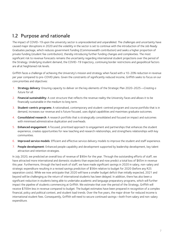# <span id="page-5-0"></span>1.2 Purpose and rationale

The impact of COVID-19 upon the university sector is unprecedented and unparalleled. The challenges and uncertainty have caused major disruptions in 2020 and the volatility in the sector is set to continue with the introduction of the Job Ready Graduates package, which reduces government funding (Commonwealth contribution) and seeks a higher proportion of private funding (student fee contribution), thereby introducing further funding changes and complexities. The most significant risk to revenue forecasts remains the uncertainty regarding international student projections over the period of the Strategy. Underlying student demand, the COVID-19 trajectory, continuing border restrictions and geopolitical factors are all at heightened risk levels.

Griffith faces a challenge of achieving the University's mission and strategy when faced with a 10-20% reduction in revenue per year compared to pre-COVID plans. Given the constraints of significantly reduced income, Griffith seeks to focus on our core priorities and objectives:

- *1.* Strategy delivery: Ensuring capacity to deliver on the key elements of the Strategic Plan 2020-2025----*Creating a future for all.*
- 2. Financial sustainability: A cost structure that reflects the revenue reality the University faces and allows it to be financially sustainable in the medium to long term.
- 3. Student-centric programs: A rationalised, contemporary and student-centred program and course portfolio that is in demand, increases our revenue and is future focused, uses digital capabilities and maximises graduate outcomes.
- 4. Consolidated research: A research portfolio that is strategically consolidated and focused on impact and outcomes with minimised administrative duplication and overheads.
- 5. Enhanced engagement: A focused, prioritised approach to engagement and partnerships that enhances the student experience, creates opportunities for new teaching and research relationships, and strengthens relationships with key communities.
- 6. Improved service models: Efficient and effective service delivery models to improve the student and staff experience.
- 7. People development: Enhanced people capability and development supported by leadership development, key talent attraction and retention strategies.

In July 2020, we predicted an overall loss of revenue of \$90m for the year. Through the outstanding efforts of staff, we have attracted more international and domestic students than expected and now predict a total loss of \$65m in revenue this year. Furthermore, through the hard work of staff, we have made significant savings in 2020 in salary, non-salary and strategic expenditure resulting in a revised savings prediction of \$56m relative to budget for 2020 (before any R2S separation costs). While we now anticipate that 2020 will have a smaller budget deficit than initially expected, 2021 and beyond will be challenging as the return of international students has been delayed. In addition, there has also been a significant reduction in students being able to undertake academic and language preparatory programs, which will further impact the pipeline of students commencing at Griffith. We estimate that over the period of the Strategy, Griffith will receive \$700m less in revenue compared to budget. The budget estimates have been prepared in recognition of a complex financial, policy and political context, and student load trends. Over the five years, the major driver for reduced income is international student fees. Consequently, Griffith will need to secure continued savings--both from salary and non-salary expenditure.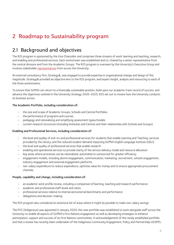# <span id="page-6-0"></span>2 Roadmap to Sustainability program

# <span id="page-6-1"></span>2.1 Background and objectives

The R2S program is sponsored by the Vice Chancellor and comprises three streams of work: learning and teaching, research, and enabling and professional services. Each workstream was established and co-chaired by a senior representative from the central divisions and from the Academic Groups. The R2S program is overseen by the University's Executive Group and involves [stakeholder representatives](https://www.griffith.edu.au/staff/roadmap-sustainability) from across the University.

An external consultancy firm, Strategy&, was engaged to provide expertise in organisational change and design of this magnitude. Strategy& provided an objective lens to the R2S program, and expert insight, analysis and resourcing to each of the three workstreams.

To ensure that Griffith can return to a financially sustainable position, build upon our academic track record of success, and advance the objectives outlined in the University Strategy 2020-2025, R2S set out to review how the University conducts its business across:

#### The Academic Portfolio, including consideration of:

- the size and scope of Academic Groups, Schools and Central Portfolios
- the performance of programs and courses
- pedagogy and rationalising and simplifying assessment types/models
- current research structures (including Institutes and Centres and their relationship with Schools and Groups).

#### Enabling and Professional Services, including consideration of:

- the level and quality of end-to-end professional services for students that enable Learning and Teaching; services provided by the Library; and the reduced student demand impacting Griffith English Language Institute (GELI)
- the level and quality of professional services that enable research
- enabling and operational services to provide clarity of the service delivery model and resource allocation
- key areas where processes can be rationalised, automated or outsourced for greater efficiency
- engagement models, including alumni engagement, communication, marketing, recruitment, schools engagement, industry engagement and external engagement platforms
- non-salary expenditure to reduce expenditure, optimise value for money and to ensure appropriate procurement channels.

#### People, capability and change, including consideration of:

- an academic work profile review, including a comparison of learning, teaching and research performance
- academic and professional staff levels and ratios
- professional services relative to internal and external benchmarks and performance
- delegations and decision-making.

The R2S program also considered an extensive list of areas where it might be possible to make non-salary savings.

The PVC (Indigenous) was appointed in January 2020; this new portfolio was established to work alongside staff across the University to enable all aspects of Griffith's First Nations engagement as well as developing strategies to enhance participation, support and success of its First Nations communities. In acknowledgement of this newly established portfolio and that a review has recently been undertaken of the Indigenous Community Engagement, Policy and Partnerships (ICEPP),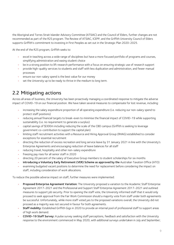the Aboriginal and Torres Strait Islander Advisory Committee (ATSIAC) and the Council of Elders, further changes are not recommended as part of the R2S program. The Review of ATSIAC, ICEPP, and the Griffith University Council of Elders supports Griffith's commitment to investing in First Peoples as set out in the Strategic Plan 2020-2025.

At the end of the R2S program, Griffith seeks to:

- excel in teaching across a wide range of disciplines but have a more focused portfolio of programs and courses, simplifying administration and easing student choice
- be in a strong position to lift research performance with a focus on ensuring strategic use of research support
- provide high-quality services to students and staff with less duplication and administration, and fewer manual processes
- ensure our non-salary spend is the best value for our money
- set the University up to be ready to thrive in the medium to long term.

# <span id="page-7-0"></span>2.2 Mitigating actions

Across all areas of business, the University has been proactively managing a coordinated response to mitigate the adverse impact of COVID-19 on our financial position. We have taken several measures to compensate for lost revenue, including:

- increasing the salary expenditure proportion of all operating expenditure (i.e. reducing our non-salary spend to protect staff positions)
- reducing annual financial targets to break-even to minimise the financial impact of COVID-19 while supporting sustainability (i.e. no requirement to generate a surplus)
- capital savings of \$300m including reducing the scale of the CBD campus (Griffith is seeking to leverage government co-contribution to support the capital plan)
- limiting staff recruitment activities with a Resource and Hiring Approval Group (RHAG) established to consider exceptions for essential recruitment
- directing the reduction of excess recreation and long service leave by 31 January 2021 in line with the University's Enterprise Agreements and encouraging reduction of leave balances for all staff
- reducing travel, hospitality and other non-salary expenditure
- freezing pay rises for all senior staff in 2020
- directing 20 percent of the salary of Executive Group members to student scholarships for six months
- introducing a Voluntary Early Retirement (VER) Scheme as approved by the Australian Taxation Office (ATO)
- examining budgeted vacant positions to determine the need for replacement before considering the impact on staff, including consideration of work allocations.

To reduce the possible adverse impact on staff, further measures were implemented:

- Proposed Enterprise Agreement Variation: The University proposed a variation to the Academic Staff Enterprise Agreement 2017-2021 and the Professional and Support Staff Enterprise Agreement 2017-2021 and outlined measures to support job security. Prior to opening the staff vote, the University informed staff that it would only proceed to seek approval from the Fair Work Commission should a majority vote from staff under both agreements be successful. Unfortunately, while more staff voted yes to the proposed variations overall, the University did not proceed as a majority was not secured in favour for both agreements.
- Staff mobility: Established Griffith Gigs in 2020 to provide an internal pool of professional staff to support areas of high work demand.
- COVID-19 Staff Survey: A pulse survey seeking staff perceptions, feedback and satisfaction with the University response to the environment commenced in May 2020, with additional surveys undertaken in July and September;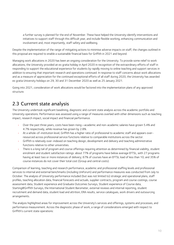a further survey is planned for the end of November. These have helped the University identify interventions and initiatives to support staff through this difficult year, and include flexible working, enhancing communication and involvement and, most importantly, staff safety and wellbeing.

Despite the implementation of the range of mitigating actions to minimise adverse impacts on staff, the changes outlined in this proposal are required to enable a sustainable financial basis for Griffith in 2021 and beyond.

Managing work allocations in 2020 has been an ongoing consideration for the University. To provide some relief to work allocations, the University provided an ex gratia holiday in April 2020 in recognition of the extraordinary efforts of staff in responding to support the educational experience for students by rapidly moving to online teaching and support services in addition to ensuring that important research and operations continued. In response to staff concerns about work allocations and as a measure of appreciation for the continued exceptional efforts of all staff during 2020, the University has awarded ex gratia University holidays on 29, 30 and 31 December 2020 as well as 25 January 2021.

Going into 2021, consideration of work allocations would be factored into the implementation plans of any approved structure.

# <span id="page-8-0"></span>2.3 Current state analysis

The University undertook significant baselining, diagnostic and current state analysis across the academic portfolio and University operations. Performance was assessed using a range of measures overlaid with other dimensions such as teaching impact, research impact, social impact and financial performance.

- Over the past three years, costs have been rising-academic and non-academic salaries have grown 5.4% and 4.7% respectively, while revenue has grown by 2.8%.
- At a whole-of-institution level, Griffith has a higher ratio of professional to academic staff and appears overresourced across professional service functions relative to comparable institutions across the sector.
- Griffith is relatively over-indexed on teaching design, development and delivery and teaching administrative functions relative to other universities.
- There is a long tail of program and course offerings requiring attention as determined by financial viability, student enrolment and student satisfaction ratings: about 77% of programs have below average EFTSL, with 27 programs having at least two or more instances of delivery; 67% of courses have an EFTSL load of less than 10; and 35% of course instances do not cover their total cost (Group and central costs).

Comparison of learning, teaching and research performance, academic and professional staffing levels and professional services to internal and external benchmarks (including UniForum) and performance measures was conducted from July to October. The analysis of University performance included (but was not limited to) strategic and operational plans, staff profiles, teaching allocation data, financial forecasts and actuals, supplier contracts, program and course costings, course assessment data, Student experience and Graduate Outcomes Surveys, Student experience of Course data, Starting@Griffith Surveys, the International Student Barometer, external reviews and internal reporting, student recruitment and demand data, student load and attrition, ERA results, service catalogues, work drivers and outsourcing arrangements.

The analysis highlighted areas for improvement across the University's services and offerings, systems and processes, and performance measurement. Across the diagnostic phase of work, a range of considerations emerged with respect to Griffith's current state operations: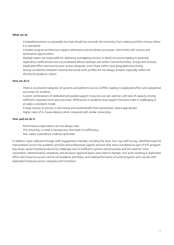#### What we do

- Comprehensiveness is sustainable but that should not preclude the University from making portfolio choices where it is warranted.
- Complex program architecture impacts admissions and enrolment processes, which limits self-service and automation opportunities.
- Multiple teams are responsible for delivering overlapping services in siloed structures leading to potential duplication, inefficiencies and uncoordinated efforts between and within Central Portfolios, Groups and Schools.
- Duplicated effort and activity exist across campuses, even those within close geographical proximity.
- Strong correlations between notional and actual work profiles are not always present, especially within the 40/40/20 academic cohort.

#### How we do it

- There is inconsistent adoption of systems and platforms across Griffith, leading to duplicated effort and suboptimal outcomes for students.
- Current combinations of dedicated and pooled support resources are sub-optimal, with lack of capacity driving inefficient response times and outcomes. Differences in academic area support functions make it challenging to provide a consistent model.
- A large volume of activity is still manual and would benefit from automation, where appropriate.
- Higher rates of in-house delivery when compared with similar universities.

#### How *well* we do it

- Performance expectations are not always clear.
- The University is mired in bureaucracy that leads to inefficiency.
- Non-salary expenditure could be optimised.

In addition, input collected through staff engagement channels, including the *Have Your Say* staff survey, identified areas for improvement across the academic portfolio and professional support services that were considered as part of R2S program. Key issues raised included productivity challenges due to inefficient systems and processes and the need for more automation. Administrative complexity and excessive approval layers were seen to hamper core work resulting in duplicated effort and resources across central and academic portfolios, and underperformance of some programs and courses with duplicated instances across campuses and trimesters.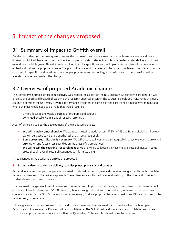# <span id="page-10-0"></span>3 Impact of the changes proposed

# <span id="page-10-1"></span>3.1 Summary of impact to Griffith overall

Detailed consideration has been given to assess the nature of the change across people, technology, system and process dimensions. R2S will have both direct and indirect impacts for staff, students and broader external stakeholders, which will extend over multiple years. Should it be determined that change will proceed, an implementation plan will be developed to embed and sustain the proposed change. The plan will define work that needs to be done to implement the operating model changes with specific considerations to our people, processes and technology along with a supporting transformation agenda to embed and sustain the changes.

# <span id="page-10-2"></span>3.2 Overview of proposed Academic changes

The University's portfolio of academic activity was considered as part of the R2S program. Specifically, consideration was given to the depth and breadth of teaching and research undertaken within the Groups, Schools and RCIs. Paths of inquiry sought to consider the University's overall performance trajectory in context of the constrained funding environment and where changes would need to be made that would result in:

- a more focused and viable portfolio of programs and courses
- continued excellence in areas of research strength.

A set of principles guided the development of the proposed changes:

- We will remain comprehensive: We want to maintain breadth across STEM, HASS and Health disciplines; however, we will be biased towards strengths rather than coverage of all.
- Some cross-subsidisation is necessary: We will choose to invest more strategically in areas we want to grow and strengthen and focus cross subsidies on the areas of strategic need.
- We will retain the teaching-research nexus: We are willing to loosen the teaching and research nexus in some areas though, overall, research continues to inform teaching.

Three changes in the academic portfolio are proposed:

#### 1. Exiting and/or rescaling disciplines, sub-disciplines, programs and courses

Within all Academic Groups, changes are proposed to rationalise the program and course offering either through complete removal or changes to the delivery approach. These changes are informed by overall viability of the offer and consider both student demand and cost to deliver.

The proposed changes would result in a more streamlined set of options for students, improving teaching and assessment efficiency. It would release over 51,000 teaching hours through rationalising or remediating reviewed underperforming course instances. Of the 3,853 courses instances reviewed, 654 are proposed to be removed while 933 are proposed to be reduced and/or remediated.

Following analysis, it is not proposed to exit a discipline. However, it is proposed that some disciplines such as Speech Pathology and Environmental Planning will be consolidated at the Gold Coast, and some may be consolidated and offered from one campus; some sub-disciplines within the Queensland College of Art should cease to be offered.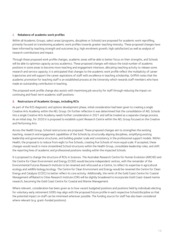#### 2. Rebalance of academic work profiles

Within all Academic Groups, select areas (programs, disciplines or Schools) are proposed for academic work reprofiling, primarily focused on transitioning academic work profiles towards greater teaching intensity. These proposed changes have been informed by teaching strength and outcomes (e.g. high enrolment growth, high satisfaction) as well as analysis of research contributions and impact.

Through these proposed work profile changes, academic areas will be able to better focus on their strengths, and Schools will be able to optimise capacity across academics. These proposed changes will reduce the total number of academic positions in some areas to become more teaching and engagement intensive, allocating teaching activity to release some research and service capacity; it is anticipated that changes to the academic work profile reflect the multiplicity of career trajectories and will support the career aspirations of staff with excellence in teaching scholarship. Griffith notes that the academic promotion for teaching staff is an established process at the University which rewards staff members who have made an outstanding contribution in teaching.

The proposed work profile change also assists with maximising job security for staff through reducing the impact on continuing and fixed-term academic staff positions.

#### **3.** Restructure of Academic Groups, including RCIs

As part of the R2S diagnostic and options development phase, initial consideration had been given to creating a single Creative Arts Academy within the AEL Group. On further reflection it was determined that the consolidation of AEL Schools into a single Creative Arts Academy needs further consideration in 2021 and will be treated as a separate change process. As an initial step, for 2020 it is proposed to establish a joint Research Centre within the AEL Group focused on the Creative and Performing Arts.

Across the Health Group, School restructures are proposed. These proposed changes aim to strengthen the existing teaching, research and engagement capabilities of the Schools by structurally aligning disciplines, simplifying existing leadership and governance structures, and building greater scale and consistency in the professional support models. Within Health, the proposal is to reduce from eight to five Schools, creating five Schools of more equal scale. If accepted, these changes would result in more streamlined School structures within the Health Group, consolidate leadership roles, and shift the reporting lines of academic and professional positions residing within the impacted Schools.

It is proposed to change the structure of RCIs in Sciences. The Australian Research Centre for Human Evolution (ARCHE) and the Centre for Clean Environment and Energy (CCEE) would become independent centres, with the remainder of the Environmental Futures Research Institute to be renamed and refocused as a Centre, to reflect its expertise in agricultural ecology and wildlife biology/ecology. The Centre for Clean Environment and Energy would be renamed the Centre for Clean Energy and Catalysis (CCEC) to better reflect its core activity. Additionally, the remit of the Gold Coast Centre for Coastal Management affiliated to Cities Research Institute (CRI) will be slightly broadened to incorporate Gold Coast-based marine research, becoming the Gold Coast Centre for Coastal and Marine Management.

Where relevant, consideration has been given as to how vacant budgeted positions and positions held by individuals electing for voluntary early retirement (VER) may align with the proposed future profile in each respective School/discipline so that the potential impact on staff can be minimised wherever possible. The funding source for staff has also been considered where relevant (e.g. grant-funded positions).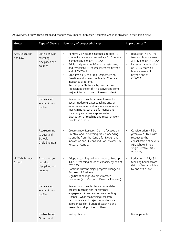An overview of how these proposed changes may impact upon each Academic Group is provided in the table below:

| Group                              | <b>Type of Change</b>                                      | Summary of proposed changes                                                                                                                                                                                                                                                                                                                                                                                                                                                                                          | Impact on staff                                                                                                                                                                              |
|------------------------------------|------------------------------------------------------------|----------------------------------------------------------------------------------------------------------------------------------------------------------------------------------------------------------------------------------------------------------------------------------------------------------------------------------------------------------------------------------------------------------------------------------------------------------------------------------------------------------------------|----------------------------------------------------------------------------------------------------------------------------------------------------------------------------------------------|
| Arts, Education<br>and Law         | Exiting and/or<br>rescaling<br>disciplines and<br>courses  | Remove 217 course instances, reduce 13<br>course instances and remediate 246 course<br>instances by end of CY2020.<br>Additionally remove 91 course instances,<br>$\bullet$<br>and remediate 21 course instances beyond<br>end of CY2021.<br>Stop Jewellery and Small Objects, Print,<br>$\bullet$<br>Creative and Interactive Media, Creative<br>Industries programs.<br>Reconfigure Photography program and<br>$\bullet$<br>redesign Bachelor of Arts converting some<br>majors into minors (e.g. Screen studies). | Reduction in 17,146<br>$\bullet$<br>teaching hours across<br>AEL by end of CY2020<br>Incremental reduction<br>$\bullet$<br>of 2,195 teaching<br>hours across AEL<br>beyond end of<br>CY2021. |
|                                    | Rebalancing<br>academic work<br>profile                    | Review work profiles in select areas to<br>accommodate greater teaching and/or<br>external engagement in some areas while<br>maintaining research performance and<br>trajectory and ensure appropriate<br>distribution of teaching and research work<br>profiles in others.                                                                                                                                                                                                                                          |                                                                                                                                                                                              |
|                                    | Restructuring<br>Groups and<br>Schools<br>(including RCIs) | Create a new Research Centre focused on<br>$\bullet$<br>Creative and Performing Arts, embedding<br>strengths from the Centre for Design and<br>Innovation and Queensland Conservatorium<br>Research Centre.                                                                                                                                                                                                                                                                                                          | Consideration will be<br>$\bullet$<br>given over 2021 with<br>respect to the<br>consolidation of several<br>AEL Schools into a<br>single Creative Arts<br>Academy.                           |
| <b>Griffith Business</b><br>School | Exiting and/or<br>rescaling<br>disciplines and<br>courses  | Adopt a teaching delivery model to free up<br>13,481 teaching hours of capacity by end of<br>CY2020.<br>Continue current major program change to<br>Bachelor of Business.<br>Significant changes to most master<br>programs (e.g. Master of Financial Planning).                                                                                                                                                                                                                                                     | Reduction in 13,481<br>$\bullet$<br>teaching hours across<br>Griffith Business School<br>by end of CY2020.                                                                                   |
|                                    | Rebalancing<br>academic work<br>profile                    | Review work profiles to accommodate<br>greater teaching and/or external<br>engagement in some areas (Accounting,<br>Finance), while maintaining research<br>performance and trajectory and ensure<br>appropriate distribution of teaching and<br>research work profiles in others.                                                                                                                                                                                                                                   |                                                                                                                                                                                              |
|                                    | Restructuring<br>Groups and                                | Not applicable                                                                                                                                                                                                                                                                                                                                                                                                                                                                                                       | Not applicable                                                                                                                                                                               |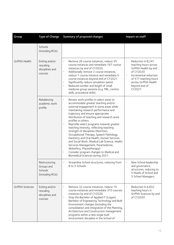| Group             | <b>Type of Change</b>                                      | Summary of proposed changes                                                                                                                                                                                                                                                                                                                                                                                                                                                                                                                                                                                                                                                                          | Impact on staff                                                                                                                                                                                                      |
|-------------------|------------------------------------------------------------|------------------------------------------------------------------------------------------------------------------------------------------------------------------------------------------------------------------------------------------------------------------------------------------------------------------------------------------------------------------------------------------------------------------------------------------------------------------------------------------------------------------------------------------------------------------------------------------------------------------------------------------------------------------------------------------------------|----------------------------------------------------------------------------------------------------------------------------------------------------------------------------------------------------------------------|
|                   | Schools<br>(including RCIs)                                |                                                                                                                                                                                                                                                                                                                                                                                                                                                                                                                                                                                                                                                                                                      |                                                                                                                                                                                                                      |
| Griffith Health   | Exiting and/or<br>rescaling<br>disciplines and<br>courses  | Remove 26 course instances, reduce 35<br>$\bullet$<br>course instances and remediate 167 course<br>instances by end of CY2020.<br>$\bullet$<br>Additionally remove 2 course instances,<br>reduce 1 course instance and remediate 5<br>course instances beyond end of CY2021.<br>Significantly reduce simulation spend.<br>$\bullet$<br>Reduced number and length of small<br>$\bullet$<br>medicine group sessions (e.g. PBL, comms<br>skills, procedural skills).                                                                                                                                                                                                                                    | Reduction in 8,241<br>$\bullet$<br>teaching hours across<br>Griffith Health by end<br>of CY2020<br>$\bullet$<br>Incremental reduction<br>of 577 teaching hours<br>across Griffith Health<br>beyond end of<br>CY2021. |
|                   | Rebalancing<br>academic work<br>profile                    | Review work profiles in select areas to<br>accommodate greater teaching and/or<br>external engagement in some areas while<br>maintaining research performance and<br>trajectory and ensure appropriate<br>distribution of teaching and research work<br>profiles in others.<br>Reprofile select programs towards greater<br>teaching intensity, reflecting teaching<br>strength of disciplines (Nutrition,<br>Occupational Therapy, Speech Pathology,<br>Dentistry and Oral Health, Human Services<br>and Social Work, Medical Lab Science, Health<br>Services Management, Paramedicine,<br>Midwifery, Physiotherapy)<br>Consider program changes to Medical and<br>Biomedical Sciences during 2021. |                                                                                                                                                                                                                      |
|                   | Restructuring<br>Groups and<br>Schools<br>(including RCIs) | Streamline School structures, reducing from<br>8 to 5 Schools.                                                                                                                                                                                                                                                                                                                                                                                                                                                                                                                                                                                                                                       | New School leadership<br>and governance<br>structures, reducing to<br>5 Heads of School and<br>5 School Managers.                                                                                                    |
| Griffith Sciences | Exiting and/or<br>rescaling<br>disciplines and<br>courses  | Remove 32 course instances, reduce 10<br>$\bullet$<br>course instances and remediate 310 courses<br>instances by end of CY2020.<br>$\bullet$<br>Stop the Bachelor of Applied IT (Logan),<br>Bachelor of Engineering Technology and Built<br>Environment changes (including the<br>consolidation and integration of the Planning,<br>Architecture and Construction management<br>programs within a new single built<br>environment discipline in the School of                                                                                                                                                                                                                                        | Reduction in 6,832<br>teaching hours in<br>Griffith Sciences by end<br>of CY2020.                                                                                                                                    |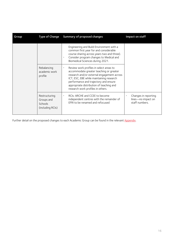| Group | <b>Type of Change</b>                                      | Summary of proposed changes                                                                                                                                                                                                                                                                                         | Impact on staff                                              |
|-------|------------------------------------------------------------|---------------------------------------------------------------------------------------------------------------------------------------------------------------------------------------------------------------------------------------------------------------------------------------------------------------------|--------------------------------------------------------------|
|       |                                                            | Engineering and Build Environment with a<br>common first year for and considerable<br>course sharing across years two and three).<br>Consider program changes to Medical and<br>Biomedical Sciences during 2021.                                                                                                    |                                                              |
|       | Rebalancing<br>academic work<br>profile                    | Review work profiles in select areas to<br>$\bullet$<br>accommodate greater teaching or greater<br>research and/or external engagement across<br>ICT, ESC, EBE while maintaining research<br>performance and trajectory and ensure<br>appropriate distribution of teaching and<br>research work profiles in others. |                                                              |
|       | Restructuring<br>Groups and<br>Schools<br>(including RCIs) | RCIs. ARCHE and CCEE to become<br>$\bullet$<br>independent centres with the remainder of<br>EFRI to be renamed and refocused                                                                                                                                                                                        | Changes in reporting<br>lines-no impact on<br>staff numbers. |

Further detail on the proposed changes to each Academic Group can be found in the relevant Appendix.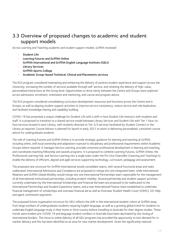# <span id="page-15-0"></span>3.3 Overview of proposed changes to academic and student support models

Across Learning and Teaching academic and student support models, Griffith reviewed:

- **Student Life**
- Learning Futures and Griffith Online
- Griffith International and Griffith English Language Institute (GELI)
- **Library Services**
- Griffith Sports College
- Academic Group-based Technical, Clinical and Placements services

The R2S program considered maintaining and enhancing the delivery of positive student experience and support across the University, increasing the number of services available through self-service, and retaining the delivery of high-value, personalised interactions at the Group level. Opportunities to drive clarity between the Centre and Groups were explored across admissions, enrolment, orientation and mentoring, and course and program advice.

The R2S program considered consolidating curriculum development resources and functions across the Centre and in Groups, as well as aligning student support activities to improve service consistency, reduce service and role duplication, and facilitate knowledge sharing and capability building.

COVID-19 has presented a unique challenge for Student Life with a shift in how Student Life interacts with students and staff. It is proposed to transition to a shared service model between Library Services and Student Life with Tier 1 face-toface services located in each Library, with students directed to Tier 2/3 services facilitated by Student Connect or the Library as required. Course Advisor is planned for launch in early 2021 to assist in delivering personalised, consistent course advice for undergraduate students.

The role of Learning Futures and Griffith Online is to provide strategic guidance for learning and teaching at Griffith, including online, with local ownership and adaptation nuanced to disciplinary and professional requirements within Academic Groups where required. It manages Service Learning, provides extensive professional development in learning and teaching, and coordinates teaching fellowship and awards programs. It is proposed to combine Learning Futures, Griffith Online, the Professional Learning Hub, and Service Learning into a single team under the Pro Vice Chancellor (Learning and Teaching) to enable the delivery of efficient, aligned and agile services supporting technology, curriculum, pedagogy and assessment.

The proposed new structure for Griffith International would consolidate teams, with several functional areas and tasks reallocated: International Admissions and Compliance are proposed to merge into one integrated team, while International Relations and Griffith Global Mobility would merge into one International Partnerships team responsible for the management of all international institutional partnerships, including student mobility. Several partnership and student support activities currently undertaken by the International Scholarships and Financial Aid team are proposed to be reallocated to the International Partnerships and Student Experience teams, and a new International Finance team established to undertake financial management of scholarships and overseas financial aid as well as Overseas Student Health Cover (OSHC), OS-Help and agent commission payments.

The proposed future organisation structure for GELI reflects the shift in the international student cohort at Griffith away from large numbers of undergraduate students requiring English language, as well as a growing global trend for students to undertake English language study in their home or third country before travelling to Australia for their degree studies. These trends were evident pre-COVID 19 and language student numbers in Australia have been decimated by the closing of international borders. The move to online delivery of all GELI programs has provided the opportunity to test demand for inmarket delivery and this has been identified as an area for new market development. Given the significantly reduced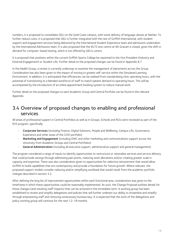numbers, it is proposed to consolidate GELI on the Gold Coast campus, with some delivery of language classes at Nathan. To further reduce costs, it is proposed that GELI is further integrated with the rest of Griffith International, with student support and engagement services being delivered by the International Student Experience team and admissions undertaken by the International Admissions team. It is also proposed that the IELTS test centre at Mt Gravatt is closed, given the shift in demand for computer-based testing, which is not offered by GELI's centre.

It is proposed that positions within the current Griffith Sports College be repointed to the Vice President (Industry and External Engagement) or Student Life. Further detail on the proposed changes can be found in Appendix 8.7.

In the Health Group, a review is currently underway to examine the management of placements across the Group. Consideration has also been given to the impact of moving to greater self-service within the Simulated Learning Environment. In addition, it is anticipated that efficiencies can be realised from standardising clinic operating hours, with the potential of transitioning to a blended workforce of staff to match patient demand to operating hours. This will be accompanied by the introduction of an online appointment booking system to reduce manual work.

Further detail on the proposed changes to each Academic Group and Central Portfolio can be found in the relevant Appendix.

## <span id="page-16-0"></span>3.4 Overview of proposed changes to enabling and professional services

All areas of professional support in Central Portfolios as well as in Groups, Schools and RCIs were reviewed as part of the R2S program, specifically:

- Corporate Services (including Finance, Digital Solutions, People and Wellbeing, Campus Life, Governance, Experience and other areas of the COO portfolio)
- Marketing and Engagement (including OMC and other marketing and communications support across the University from Academic Groups and Central Portfolios)
- General Administration (including all executive support, administrative support and general management)

The program considered a range of inputs to identify opportunities to restructure or rationalise services and service delivery that could provide savings through addressing pain points, reducing work allocations and/or creating greater scale in capacity and expertise. There was also consideration given to opportunities for selective reinvestment that would allow Griffith to build capabilities that are contemporary and provide a foundation for future growth. Where relevant, the proposed support models consider reducing and/or simplifying workload that would result from the academic portfolio changes described in section 3.2.

After defining the long list of improvement opportunities within each functional area, consideration was given to the timeframe in which these opportunities could be reasonably implemented. As such, the Change Proposal outlines details for those changes (and resulting staff impacts) that can be actioned in the immediate term. A working group has been established to review and simplify delegations and policies that will further underpin our ability to streamline and simplify through empowering staff and removing unnecessary bureaucracy. It is expected that the work of the delegations and policy working group will continue for the next 12-18 months.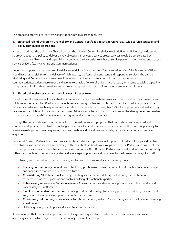The proposed professional services support model has two broad features:

#### 1. Enhanced role of University Chancellery and Central Portfolios in setting University-wide service strategy and policy that guides operations

It is proposed that the University Chancellery and the relevant Central Portfolios would define the University-wide service strategy, budget and policy to deliver on key objectives. In selected service areas, services would be consolidated by bringing together 'like' roles and capabilities throughout the University to enhance service performance through end-to-end service delivery (e.g. Marketing and Communications).

Under the proposed end-to-end service delivery model for Marketing and Communications, the Chief Marketing Officer would have responsibility for the delivery of high-quality, professional, consistent and responsive services; the unified Marketing and Communications team would operate as an integrated function with accountability for all marketing, communications, student recruitment and events to enable a 'whole of University' approach, with some specialist capability being retained in Griffith International to ensure an integrated approach to international student recruitment.

#### 2. Tiered University services and new Business Partner teams

Tiered University services will be established in services where appropriate to provide cost-efficient and customer-focused solutions and services. Tier 0 will comprise self-service through online and digital resources; Tier 1 will comprise assisted self-service, advice on routine queries and referral of more complex enquiries; Tier 2-3 will comprise personalised advisory services and resolution of more complex enquiries. Advisory activities and support services will be strengthened and enabled through a focus on capability development and greater sharing of best practice.

Through the consolidation of common activity into unified teams, it is proposed that duplication can be reduced and common work practices established, enabling a focus on value-add services. In some instances, there is an opportunity to leverage existing investment in greater use of automation and digital service models, particularly for common service enquiries.

Dedicated Business Partner teams will provide strategic advice and professional support to Academic Groups and Central Portfolios; Business Partners will work closely with their clients in Academic Groups and Central Portfolios to ensure fit-forpurpose options are enacted to achieve the required outcomes. New Business Partner teams will work across the University within their function to better manage demand levels against priorities and provide enhanced career pathways for staff.

The following were considered to achieve savings in line with the proposed service delivery model:

- Building contemporary capabilities: Establishing positions/or teams that reflect best practice functional design and capabilities that are required to be future fit.
- Consolidating 'like' functional activity: Creating scale in service delivery that allows greater utilisation of resources, removes duplication and enables building of functional expertise.
- Rationalising services and/or service levels: Ceasing services and/or reducing service levels that are deemed unnecessary or unaffordable.
- Simplification and/or automation: Reducing workload driven by streamlining processes, reducing manual effort and/or introducing system support that is 'fit for purpose'.
- Considering outsourcing of services or functions: Reducing risk and/or improving service quality while providing a cost benefit.
- Flattening management spans and layers to streamline services.

It is recognised that the overall impact of these changes will require staff to adapt to new service levels and ways of accessing services which may require a period of adjustment. For example: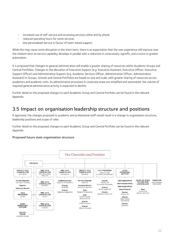- increased use of self-service and accessing services online and by phone
- reduced operating hours for some services
- less personalised service in favour of team-based support.

While this may cause some disruption in the short term, there is an expectation that the user experience will improve over the medium term as service capability develops in parallel with a reduction in unnecessary signoffs, and a move to greater automation.

It is proposed that changes to general administration will enable a greater sharing of resources within Academic Groups and Central Portfolios. Changes to the allocation of Executive Support (e.g. Executive Assistant, Executive Officer, Executive Support Officer) and Administrative Support (e.g. Academic Services Officer, Administration Officer, Administration Assistant) in Groups, Schools and Central Portfolios are based on size and scale, with greater sharing of resources across academics and academic units. As administrative processes in corporate areas are simplified and automated, the volume of required general administrative activity is expected to decline.

Further detail on the proposed changes to each Academic Group and Central Portfolio can be found in the relevant Appendix.

## <span id="page-18-0"></span>3.5 Impact on organisation leadership structure and positions

If approved, the changes proposed to academic and professional staff would result in a change to organisation structure, leadership positions and scope of roles.

Further detail on the proposed changes to each Academic Group and Central Portfolio can be found in the relevant Appendix.

#### Proposed future state organisation structure

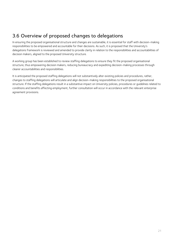# <span id="page-19-0"></span>3.6 Overview of proposed changes to delegations

In ensuring the proposed organisational structure and changes are sustainable, it is essential for staff with decision-making responsibilities to be empowered and accountable for their decisions. As such, it is proposed that the University's delegations framework is reviewed and amended to provide clarity in relation to the responsibilities and accountabilities of decision makers, aligned to the proposed University structure.

A working group has been established to review staffing delegations to ensure they fit the proposed organisational structure, thus empowering decision makers, reducing bureaucracy and expediting decision-making processes through clearer accountabilities and responsibilities.

It is anticipated the proposed staffing delegations will not substantively alter existing policies and procedures, rather, changes to staffing delegations will articulate and align decision-making responsibilities to the proposed organisational structure. If the staffing delegations result in a substantive impact on University policies, procedures or guidelines related to conditions and benefits affecting employment, further consultation will occur in accordance with the relevant enterprise agreement provisions.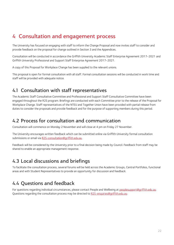# <span id="page-20-0"></span>4 Consultation and engagement process

The University has focused on engaging with staff to inform the Change Proposal and now invites staff to consider and provide feedback on the proposal for change outlined in Section 3 and the Appendices.

Consultation will be conducted in accordance the Griffith University Academic Staff Enterprise Agreement 2017-2021 and Griffith University Professional and Support Staff Enterprise Agreement 2017-2021.

A copy of this Proposal for Workplace Change has been supplied to the relevant unions.

This proposal is open for formal consultation with all staff. Formal consultation sessions will be conducted in work time and staff will be provided with adequate notice.

### <span id="page-20-1"></span>4.1 Consultation with staff representatives

The Academic Staff Consultative Committee and Professional and Support Staff Consultative Committee have been engaged throughout the R2S program. Briefings are conducted with each Committee prior to the release of the Proposal for Workplace Change. Staff representatives of the NTEU and Together Union have been provided with partial release from duties to consider the proposals and provide feedback and for the purpose of supporting members during this period.

### <span id="page-20-2"></span>4.2 Process for consultation and communication

Consultation will commence on Monday 2 November and will close at 4 pm on Friday 27 November.

The University encourages written feedback which can be submitted online via Griffith University formal consultation submissions or email via [R2S-consultation@griffith.edu.au.](mailto:R2S-consultation@griffith.edu.au)

Feedback will be considered by the University prior to a final decision being made by Council. Feedback from staff may be shared to enable an appropriate management response.

### <span id="page-20-3"></span>4.3 Local discussions and briefings

To facilitate the consultation process, several forums will be held across the Academic Groups, Central Portfolios, functional areas and with Student Representatives to provide an opportunity for discussion and feedback.

## <span id="page-20-4"></span>4.4 Questions and feedback

For questions regarding individual circumstances, please contact People and Wellbeing a[t peoplesupport@griffith.edu.au.](mailto:peoplesupport@griffith.edu.au) Questions regarding the consultation process may be directed to [R2S-enquiries@griffith.edu.au.](mailto:R2S-enquiries@griffith.edu.au)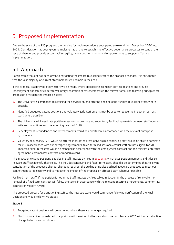# <span id="page-21-0"></span>5 Proposed implementation

Due to the scale of the R2S program, the timeline for implementation is anticipated to extend from December 2020 into 2021. Consideration has been given to implementation and to establishing effective governance processes to control the pace of change, and provide accountability, agility, timely decision making and empowerment to support effective implementation.

# <span id="page-21-1"></span>5.1 Approach

Considerable thought has been given to mitigating the impact to existing staff of the proposed changes. It is anticipated that the vast majority of current staff members will remain in their role.

If this proposal is approved, every effort will be made, where appropriate, to match staff to positions and provide redeployment opportunities before voluntary separation or retrenchments in the relevant area. The following principles are proposed to mitigate the impact on staff:

- 1. The University is committed to retaining the services of, and offering ongoing opportunities to existing staff, where possible.
- 2. Identified budgeted vacant positions and Voluntary Early Retirements may be used to reduce the impact on current staff, where possible.
- 3. The University will investigate positive measures to promote job security by facilitating a match between staff numbers, skills and capabilities and the emerging needs of Griffith.
- 4. Redeployment, redundancies and retrenchments would be undertaken in accordance with the relevant enterprise agreements.
- 5. Voluntary redundancy (VR) would be offered in targeted areas only; eligible continuing staff would be able to nominate for VR. In accordance with our enterprise agreements, fixed term and sessional/casual staff are not eligible for VR. Impacted fixed-term staff would be managed in accordance with the employment contract and the relevant enterprise agreement, common law contract or modern award.

The impact on existing positions is tabled in Staff Impacts by Area i[n Section 8,](#page--1-0) which uses position numbers and titles so relevant staff can identify their roles. This includes continuing and fixed-term staff. Should it be determined that, following consultation of the proposed change, change is required, the guiding principles outlined above are proposed to meet our commitment to job security and to mitigate the impact of the Proposal on affected staff wherever possible.

For fixed-term staff, if the position is not in the Staff Impacts by Area tables in Section 8, the process of renewal or nonrenewal of a fixed term contract will follow the terms in accordance with the relevant Enterprise Agreements, common law contract or Modern Award.

The proposed process for transitioning staff to the new structure would commence following notification of the Final Decision and would follow two stages.

#### Stage 1

- 1. Budgeted vacant positions will be removed where these are no longer required.
- 2. Staff who are directly matched to a position will transition to the new structure on 1 January 2021 with no substantive change to terms and conditions.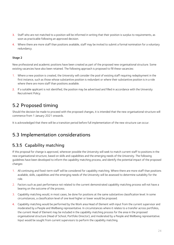- 3. Staff who are not matched to a position will be informed in writing that their position is surplus to requirements, as soon as practicable following an approved decision.
- 4. Where there are more staff than positions available, staff may be invited to submit a formal nomination for a voluntary redundancy.

#### Stage 2

New professional and academic positions have been created as part of the proposed new organisational structure. Some existing vacancies have also been retained. The following approach is proposed to fill these vacancies:

- 1. Where a new position is created, the University will consider the pool of existing staff requiring redeployment in the first instance, such as those whose substantive position is redundant or where their substantive position is in a role where there are more staff than positions available.
- 2. If a suitable applicant is not identified, the position may be advertised and filled in accordance with the University Recruitment Policy.

## <span id="page-22-0"></span>5.2 Proposed timing

Should the decision be made to proceed with the proposed changes, it is intended that the new organisational structure will commence from 1 January 2021 onwards.

It is acknowledged that there will be a transition period before full implementation of the new structure can occur.

## <span id="page-22-1"></span>5.3 Implementation considerations

### <span id="page-22-2"></span>5.3.5 Capability matching

If this proposal for change is approved, wherever possible the University will seek to match current staff to positions in the new organisational structure, based on skills and capabilities and the emerging needs of the University. The following guidelines have been developed to inform the capability matching process, and identify the potential impact of the proposed changes:

- 1. All continuing and fixed-term staff will be considered for capability matching. Where there are more staff than positions available, skills, capabilities and the emerging needs of the University will be assessed to determine suitability for the role.
- 2. Factors such as past performance not related to the current demonstrated capability matching process will not have a bearing on the outcome of the process.
- 3. Capability matching would, in most cases, be done for positions at the same substantive classification level. In some circumstances, a classification level of one level higher or lower would be proposed.
- 4. Capability matching would be performed by the Work area Head of Element with input from the current supervisor and moderated by a People and Wellbeing representative. In circumstances where it relates to a transfer across portfolios, the current Head of Element may be included in the capability matching process for the area in the proposed organisational structure (Head of School, Portfolio Director), and moderated by a People and Wellbeing representative. Input would be sought from current supervisors to perform the capability matching.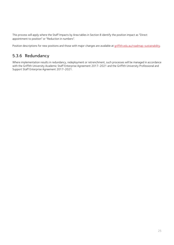This process will apply where the Staff Impacts by Area tables in Section 8 identify the position impact as ''Direct appointment to position'' or ''Reduction in numbers''.

Position descriptions for new positions and those with major changes are available at [griffith.edu.au/roadmap-sustainability.](https://www.griffith.edu.au/staff/roadmap-sustainability)

### <span id="page-23-0"></span>5.3.6 Redundancy

Where implementation results in redundancy, redeployment or retrenchment, such processes will be managed in accordance with the Griffith University Academic Staff Enterprise Agreement 2017-2021 and the Griffith University Professional and Support Staff Enterprise Agreement 2017-2021.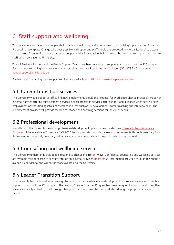# <span id="page-24-0"></span>6 Staff support and wellbeing

The University cares about our people, their health and wellbeing, and is committed to minimising impacts arising from the Proposal for Workplace Change wherever possible and supporting staff should the proposed new organisational structure be endorsed. A range of support services and opportunities for capability building would be provided to ongoing staff and to staff who may leave the University.

The HR Business Partners and the People Support Team have been available to support staff throughout the R2S program. For questions regarding individual circumstances, please contact People and Wellbeing on (07) 3735 4011 or email [peoplesupport@griffith.edu.au.](mailto:peoplesupport@griffith.edu.au) 

Further details regarding staff support services are available a[t griffith.edu.au/roadmap-sustainability.](https://www.griffith.edu.au/staff/roadmap-sustainability)

## <span id="page-24-1"></span>6.1 Career transition services

The University would support staff to find new employment, should the Proposal for Workplace Change proceed, through an external partner offering outplacement services. Career transition services offer support and guidance when seeking new employment or transitioning into a new career, in areas such as CV development, career planning and interview skills. The outplacement provider will provide tailored assistance and coaching sessions for individual needs.

# <span id="page-24-2"></span>6.2 Professional development

In addition to the University's existing professional development opportunities for staff, an Enhanced Study Assistance [Program](https://intranet.secure.griffith.edu.au/employment/learning-and-development/specialist-programs/enhanced-study-assistance-program/_nocache) will be available in Trimesters 1-3 2021 for ongoing staff and those leaving the University through Voluntary Early Retirement, or potentially voluntary redundancy or retrenchment should the proposed changes proceed.

# <span id="page-24-3"></span>6.3 Counselling and wellbeing services

The University understands that people respond to change in different ways. Confidential counselling and wellbeing services are available free of charge to all staff through an external provider, [Benestar.](https://www.griffith.edu.au/health-safety-wellbeing/staff-counselling) All information provided through this support avenue is confidential and will not be made available to the University.

## <span id="page-24-4"></span>6.4 Leader Transition Support

The University has partnered with Leading Stratagems, experts in leadership development, to provide leaders with coaching support throughout the R2S program. The Leading Change Together Program has been designed to support and strengthen leaders' capability in leading staff through change so that they can in turn support staff during the proposed change period.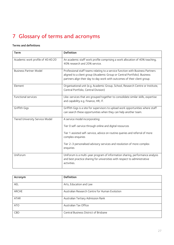# <span id="page-25-0"></span>7 Glossary of terms and acronyms

#### Terms and definitions

| Term                              | Definition                                                                                                                                                                                                                                                                             |
|-----------------------------------|----------------------------------------------------------------------------------------------------------------------------------------------------------------------------------------------------------------------------------------------------------------------------------------|
| Academic work profile of 40:40:20 | An academic staff work profile comprising a work allocation of 40% teaching,<br>40% research and 20% service.                                                                                                                                                                          |
| <b>Business Partner Model</b>     | Professional staff teams relating to a service function with Business Partners<br>aligned to a client group (Academic Group or Central Portfolio). Business<br>partners align their day to day work with outcomes of their client group.                                               |
| Element                           | Organisational unit (e.g. Academic Group, School, Research Centre or Institute,<br>Central Portfolio, Central Division)                                                                                                                                                                |
| <b>Functional services</b>        | Like-services that are grouped together to consolidate similar skills, expertise<br>and capability e.g. Finance, HR, IT.                                                                                                                                                               |
| Griffith Gigs                     | Griffith Gigs is a site for supervisors to upload work opportunities where staff<br>can search these opportunities when they can help another team.                                                                                                                                    |
| Tiered University Service Model   | A service model incorporating:<br>Tier O self-service through online and digital resources<br>Tier 1 assisted self-service, advice on routine queries and referral of more<br>complex enquiries<br>Tier 2-3 personalised advisory services and resolution of more complex<br>enquiries |
| UniForum                          | UniForum is a multi-year program of information sharing, performance analysis<br>and best practice sharing for universities with respect to administrative<br>activities.                                                                                                              |

| Acronym      | <b>Definition</b>                              |
|--------------|------------------------------------------------|
| <b>AEL</b>   | Arts, Education and Law                        |
| <b>ARCHE</b> | Australian Research Centre for Human Evolution |
| ATAR         | Australian Tertiary Admission Rank             |
| ATO          | Australian Tax Office                          |
| <b>CBD</b>   | Central Business District of Brisbane          |